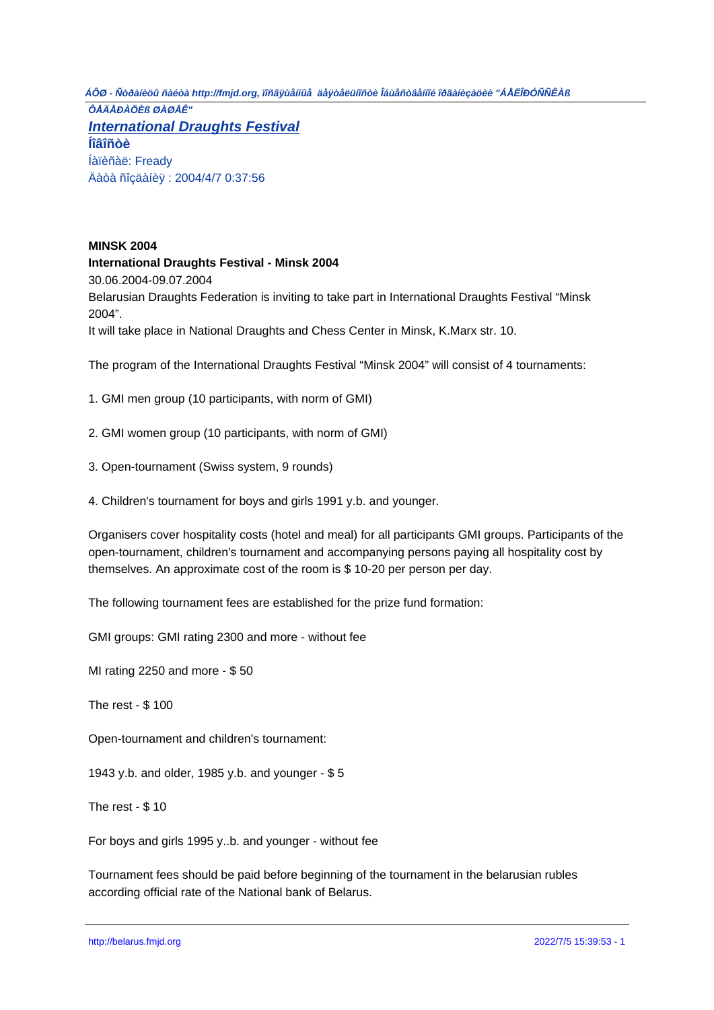**MINSK 2004 International Draughts Festival - Minsk 2004** 30.06.2004-09.07.2004 Belarusian Draughts Federation is inviting to take part in International Draughts Festival "Minsk 2004". It will take place in National Draughts and Chess Center in Minsk, K.Marx str. 10.

The program of the International Draughts Festival "Minsk 2004" will consist of 4 tournaments:

1. GMI men group (10 participants, with norm of GMI)

2. GMI women group (10 participants, with norm of GMI)

3. Open-tournament (Swiss system, 9 rounds)

4. Children's tournament for boys and girls 1991 y.b. and younger.

Organisers cover hospitality costs (hotel and meal) for all participants GMI groups. Participants of the open-tournament, children's tournament and accompanying persons paying all hospitality cost by themselves. An approximate cost of the room is \$ 10-20 per person per day.

The following tournament fees are established for the prize fund formation:

GMI groups: GMI rating 2300 and more - without fee

MI rating 2250 and more - \$ 50

The rest - \$ 100

Open-tournament and children's tournament:

1943 y.b. and older, 1985 y.b. and younger - \$ 5

The rest - \$ 10

For boys and girls 1995 y..b. and younger - without fee

Tournament fees should be paid before beginning of the tournament in the belarusian rubles according official rate of the National bank of Belarus.